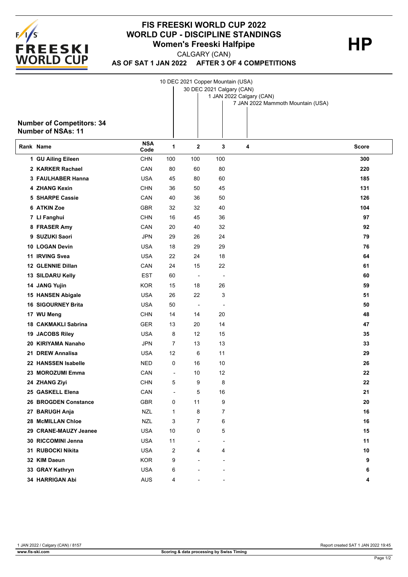

## **FIS FREESKI WORLD CUP 2022 WORLD CUP - DISCIPLINE STANDINGS**<br>Women's Freeski Halfpipe **Women's Freeski Halfpipe**

CALGARY (CAN)

**AS OF SAT 1 JAN 2022 AFTER 3 OF 4 COMPETITIONS**

|   | <b>Number of Competitors: 34</b><br><b>Number of NSAs: 11</b> | 10 DEC 2021 Copper Mountain (USA)<br>30 DEC 2021 Calgary (CAN)<br>1 JAN 2022 Calgary (CAN)<br>7 JAN 2022 Mammoth Mountain (USA) |     |             |     |   |              |  |  |  |
|---|---------------------------------------------------------------|---------------------------------------------------------------------------------------------------------------------------------|-----|-------------|-----|---|--------------|--|--|--|
|   | Rank Name                                                     | <b>NSA</b><br>Code                                                                                                              | 1   | $\mathbf 2$ | 3   | 4 | <b>Score</b> |  |  |  |
|   | 1 GU Ailing Eileen                                            | <b>CHN</b>                                                                                                                      | 100 | 100         | 100 |   | 300          |  |  |  |
|   | 2 KARKER Rachael                                              | CAN                                                                                                                             | 80  | 60          | 80  |   | 220          |  |  |  |
|   | 3 FAULHABER Hanna                                             | <b>USA</b>                                                                                                                      | 45  | 80          | 60  |   | 185          |  |  |  |
|   | <b>4 ZHANG Kexin</b>                                          | <b>CHN</b>                                                                                                                      | 36  | 50          | 45  |   | 131          |  |  |  |
|   | <b>5 SHARPE Cassie</b>                                        | CAN                                                                                                                             | 40  | 36          | 50  |   | 126          |  |  |  |
|   | 6 ATKIN Zoe                                                   | <b>GBR</b>                                                                                                                      | 32  | 32          | 40  |   | 104          |  |  |  |
|   | 7 LI Fanghui                                                  | <b>CHN</b>                                                                                                                      | 16  | 45          | 36  |   | 97           |  |  |  |
|   | 8 FRASER Amy                                                  | CAN                                                                                                                             | 20  | 40          | 32  |   | 92           |  |  |  |
| 9 | <b>SUZUKI Saori</b>                                           | <b>JPN</b>                                                                                                                      | 29  | 26          | 24  |   | 79           |  |  |  |
|   | <b>10 LOGAN Devin</b>                                         | <b>USA</b>                                                                                                                      | 18  | 29          | 29  |   | 76           |  |  |  |
|   | 11 IRVING Svea                                                | <b>USA</b>                                                                                                                      | 22  | 24          | 18  |   | 64           |  |  |  |
|   | <b>12 GLENNIE Dillan</b>                                      | CAN                                                                                                                             | 24  | 15          | 22  |   | 61           |  |  |  |
|   | 13 SILDARU Kelly                                              | <b>EST</b>                                                                                                                      | 60  |             |     |   | 60           |  |  |  |
|   |                                                               |                                                                                                                                 |     |             |     |   |              |  |  |  |

| 11 IRVING Svea             | <b>USA</b> | 22                       | 24                       | 18                       |  |
|----------------------------|------------|--------------------------|--------------------------|--------------------------|--|
| 12 GLENNIE Dillan          | CAN        | 24                       | 15                       | 22                       |  |
| 13 SILDARU Kelly           | <b>EST</b> | 60                       | $\overline{\phantom{a}}$ | ٠                        |  |
| 14 JANG Yujin              | <b>KOR</b> | 15                       | 18                       | 26                       |  |
| 15 HANSEN Abigale          | <b>USA</b> | 26                       | 22                       | 3                        |  |
| <b>16 SIGOURNEY Brita</b>  | <b>USA</b> | 50                       | $\overline{\phantom{a}}$ | $\overline{\phantom{a}}$ |  |
| 17 WU Meng                 | <b>CHN</b> | 14                       | 14                       | 20                       |  |
| <b>18 CAKMAKLI Sabrina</b> | <b>GER</b> | 13                       | 20                       | 14                       |  |
| 19 JACOBS Riley            | <b>USA</b> | 8                        | 12                       | 15                       |  |
| 20 KIRIYAMA Nanaho         | <b>JPN</b> | 7                        | 13                       | 13                       |  |
| 21 DREW Annalisa           | <b>USA</b> | 12                       | 6                        | 11                       |  |
| 22 HANSSEN Isabelle        | <b>NED</b> | $\pmb{0}$                | 16                       | 10                       |  |
| 23 MOROZUMI Emma           | CAN        | $\overline{\phantom{a}}$ | 10                       | 12                       |  |
| 24 ZHANG Ziyi              | <b>CHN</b> | 5                        | 9                        | 8                        |  |
| 25 GASKELL Elena           | CAN        | $\overline{\phantom{a}}$ | 5                        | 16                       |  |
| 26 BROGDEN Constance       | <b>GBR</b> | 0                        | 11                       | 9                        |  |
| 27 BARUGH Anja             | <b>NZL</b> | 1                        | 8                        | $\overline{7}$           |  |
| 28 McMILLAN Chloe          | <b>NZL</b> | 3                        | 7                        | 6                        |  |
| 29 CRANE-MAUZY Jeanee      | <b>USA</b> | 10                       | 0                        | 5                        |  |
| 30 RICCOMINI Jenna         | <b>USA</b> | 11                       | $\overline{\phantom{a}}$ | $\overline{\phantom{a}}$ |  |
| 31 RUBOCKI Nikita          | <b>USA</b> | 2                        | 4                        | 4                        |  |
| 32 KIM Daeun               | <b>KOR</b> | 9                        | $\overline{\phantom{a}}$ | $\blacksquare$           |  |
| 33 GRAY Kathryn            | <b>USA</b> | 6                        |                          |                          |  |
| <b>34 HARRIGAN Abi</b>     | <b>AUS</b> | 4                        |                          |                          |  |
|                            |            |                          |                          |                          |  |